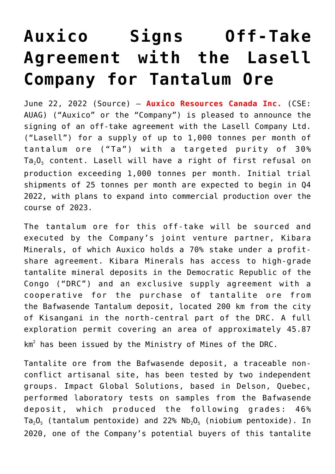# **[Auxico Signs Off-Take](https://investorintel.com/markets/technology-metals/technology-metals-news/auxico-signs-off-take-agreement-with-the-lasell-company-for-tantalum-ore/) [Agreement with the Lasell](https://investorintel.com/markets/technology-metals/technology-metals-news/auxico-signs-off-take-agreement-with-the-lasell-company-for-tantalum-ore/) [Company for Tantalum Ore](https://investorintel.com/markets/technology-metals/technology-metals-news/auxico-signs-off-take-agreement-with-the-lasell-company-for-tantalum-ore/)**

June 22, 2022 ([Source](https://www.newswire.ca/news-releases/auxico-signs-off-take-agreement-with-the-lasell-company-for-tantalum-ore-894321853.html)) – **Auxico Resources Canada Inc.** (CSE: AUAG) ("Auxico" or the "Company") is pleased to announce the signing of an off-take agreement with the Lasell Company Ltd. ("Lasell") for a supply of up to 1,000 tonnes per month of tantalum ore ("Ta") with a targeted purity of 30%  $Ta_2O_5$  content. Lasell will have a right of first refusal on production exceeding 1,000 tonnes per month. Initial trial shipments of 25 tonnes per month are expected to begin in Q4 2022, with plans to expand into commercial production over the course of 2023.

The tantalum ore for this off-take will be sourced and executed by the Company's joint venture partner, Kibara Minerals, of which Auxico holds a 70% stake under a profitshare agreement. Kibara Minerals has access to high-grade tantalite mineral deposits in the Democratic Republic of the Congo ("DRC") and an exclusive supply agreement with a cooperative for the purchase of tantalite ore from the Bafwasende Tantalum deposit, located 200 km from the city of Kisangani in the north-central part of the DRC. A full exploration permit covering an area of approximately 45.87  $km<sup>2</sup>$  has been issued by the Ministry of Mines of the DRC.

Tantalite ore from the Bafwasende deposit, a traceable nonconflict artisanal site, has been tested by two independent groups. Impact Global Solutions, based in Delson, Quebec, performed laboratory tests on samples from the Bafwasende deposit, which produced the following grades: 46% Ta<sub>2</sub>O<sub>5</sub> (tantalum pentoxide) and 22%  $Nb<sub>2</sub>O<sub>5</sub>$  (niobium pentoxide). In 2020, one of the Company's potential buyers of this tantalite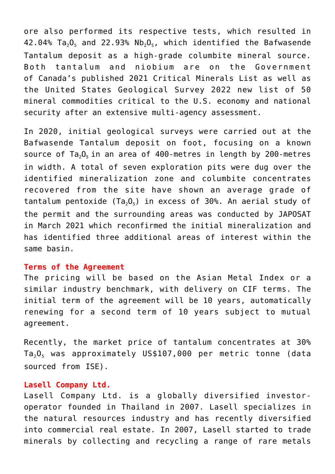ore also performed its respective tests, which resulted in 42.04%  $Ta_2O_5$  and 22.93% Nb<sub>2</sub>O<sub>5</sub>, which identified the Bafwasende Tantalum deposit as a high-grade columbite mineral source. Both tantalum and niobium are on the Government of Canada's published [2021 Critical Minerals List](https://c212.net/c/link/?t=0&l=en&o=3574320-3&h=1982913673&u=https%3A%2F%2Fwww.nrcan.gc.ca%2Fcriticalminerals&a=2021+Critical+Minerals+List) as well as the United States Geological Survey 2022 new list of 50 mineral commodities critical to the U.S. economy and national security after an extensive multi-agency assessment.

In 2020, initial geological surveys were carried out at the Bafwasende Tantalum deposit on foot, focusing on a known source of  $Ta_2O_5$  in an area of 400-metres in length by 200-metres in width. A total of seven exploration pits were dug over the identified mineralization zone and columbite concentrates recovered from the site have shown an average grade of tantalum pentoxide (Ta<sub>2</sub>O<sub>5</sub>) in excess of 30%. An aerial study of the permit and the surrounding areas was conducted by JAPOSAT in March 2021 which reconfirmed the initial mineralization and has identified three additional areas of interest within the same basin.

#### **Terms of the Agreement**

The pricing will be based on the Asian Metal Index or a similar industry benchmark, with delivery on CIF terms. The initial term of the agreement will be 10 years, automatically renewing for a second term of 10 years subject to mutual agreement.

Recently, the market price of tantalum concentrates at 30%  $Ta_2O_5$  was approximately US\$107,000 per metric tonne (data sourced from ISE).

#### **Lasell Company Ltd.**

Lasell Company Ltd. is a globally diversified investoroperator founded in Thailand in 2007. Lasell specializes in the natural resources industry and has recently diversified into commercial real estate. In 2007, Lasell started to trade minerals by collecting and recycling a range of rare metals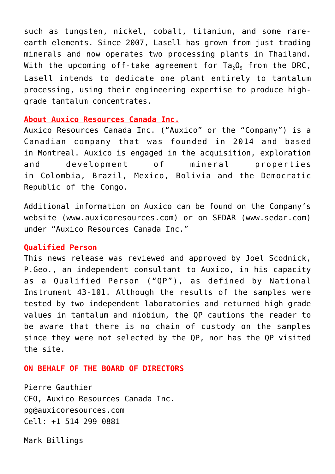such as tungsten, nickel, cobalt, titanium, and some rareearth elements. Since 2007, Lasell has grown from just trading minerals and now operates two processing plants in Thailand. With the upcoming off-take agreement for  $Ta_2O_5$  from the DRC, Lasell intends to dedicate one plant entirely to tantalum processing, using their engineering expertise to produce highgrade tantalum concentrates.

## **About Auxico Resources Canada Inc.**

Auxico Resources Canada Inc. ("Auxico" or the "Company") is a Canadian company that was founded in 2014 and based in Montreal. Auxico is engaged in the acquisition, exploration and development of mineral properties in Colombia, Brazil, Mexico, Bolivia and the Democratic Republic of the Congo.

Additional information on Auxico can be found on the Company's website ([www.auxicoresources.com\)](https://c212.net/c/link/?t=0&l=en&o=3574320-3&h=2421600907&u=http%3A%2F%2Fwww.auxicoresources.com&a=www.auxicoresources.com) or on SEDAR ([www.sedar.com\)](https://c212.net/c/link/?t=0&l=en&o=3574320-3&h=3403604533&u=http%3A%2F%2Fwww.sedar.com&a=www.sedar.com) under "Auxico Resources Canada Inc."

### **Qualified Person**

This news release was reviewed and approved by Joel Scodnick, P.Geo., an independent consultant to Auxico, in his capacity as a Qualified Person ("QP"), as defined by National Instrument 43-101. Although the results of the samples were tested by two independent laboratories and returned high grade values in tantalum and niobium, the QP cautions the reader to be aware that there is no chain of custody on the samples since they were not selected by the QP, nor has the QP visited the site.

**ON BEHALF OF THE BOARD OF DIRECTORS**

Pierre Gauthier CEO, Auxico Resources Canada Inc. pg@auxicoresources.com Cell: +1 514 299 0881

Mark Billings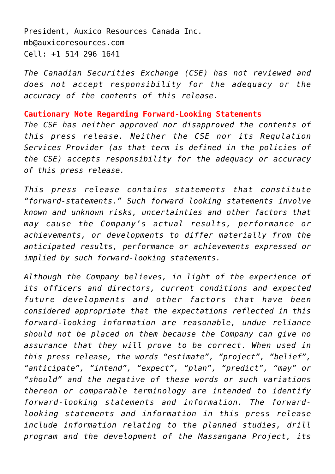President, Auxico Resources Canada Inc. mb@auxicoresources.com Cell: +1 514 296 1641

*The Canadian Securities Exchange (CSE) has not reviewed and does not accept responsibility for the adequacy or the accuracy of the contents of this release.*

### **Cautionary Note Regarding Forward-Looking Statements**

*The CSE has neither approved nor disapproved the contents of this press release. Neither the CSE nor its Regulation Services Provider (as that term is defined in the policies of the CSE) accepts responsibility for the adequacy or accuracy of this press release.*

*This press release contains statements that constitute "forward-statements." Such forward looking statements involve known and unknown risks, uncertainties and other factors that may cause the Company's actual results, performance or achievements, or developments to differ materially from the anticipated results, performance or achievements expressed or implied by such forward-looking statements.*

*Although the Company believes, in light of the experience of its officers and directors, current conditions and expected future developments and other factors that have been considered appropriate that the expectations reflected in this forward-looking information are reasonable, undue reliance should not be placed on them because the Company can give no assurance that they will prove to be correct. When used in this press release, the words "estimate", "project", "belief", "anticipate", "intend", "expect", "plan", "predict", "may" or "should" and the negative of these words or such variations thereon or comparable terminology are intended to identify forward-looking statements and information. The forwardlooking statements and information in this press release include information relating to the planned studies, drill program and the development of the Massangana Project, its*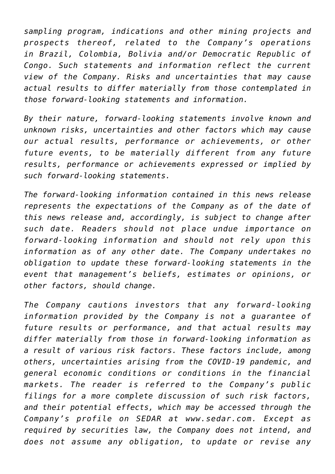*sampling program, indications and other mining projects and prospects thereof, related to the Company's operations in Brazil, Colombia, Bolivia and/or Democratic Republic of Congo. Such statements and information reflect the current view of the Company. Risks and uncertainties that may cause actual results to differ materially from those contemplated in those forward-looking statements and information.*

*By their nature, forward-looking statements involve known and unknown risks, uncertainties and other factors which may cause our actual results, performance or achievements, or other future events, to be materially different from any future results, performance or achievements expressed or implied by such forward-looking statements.*

*The forward-looking information contained in this news release represents the expectations of the Company as of the date of this news release and, accordingly, is subject to change after such date. Readers should not place undue importance on forward-looking information and should not rely upon this information as of any other date. The Company undertakes no obligation to update these forward-looking statements in the event that management's beliefs, estimates or opinions, or other factors, should change.*

*The Company cautions investors that any forward-looking information provided by the Company is not a guarantee of future results or performance, and that actual results may differ materially from those in forward-looking information as a result of various risk factors. These factors include, among others, uncertainties arising from the COVID-19 pandemic, and general economic conditions or conditions in the financial markets. The reader is referred to the Company's public filings for a more complete discussion of such risk factors, and their potential effects, which may be accessed through the Company's profile on SEDAR at [www.sedar.com.](http://www.sedar.com/) Except as required by securities law, the Company does not intend, and does not assume any obligation, to update or revise any*